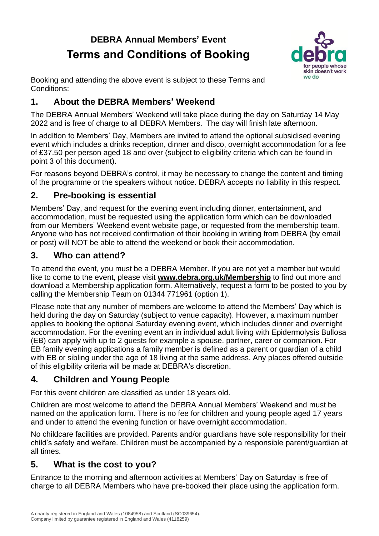# **DEBRA Annual Members' Event Terms and Conditions of Booking**



Booking and attending the above event is subject to these Terms and Conditions:

# **1. About the DEBRA Members' Weekend**

The DEBRA Annual Members' Weekend will take place during the day on Saturday 14 May 2022 and is free of charge to all DEBRA Members. The day will finish late afternoon.

In addition to Members' Day, Members are invited to attend the optional subsidised evening event which includes a drinks reception, dinner and disco, overnight accommodation for a fee of £37.50 per person aged 18 and over (subject to eligibility criteria which can be found in point 3 of this document).

For reasons beyond DEBRA's control, it may be necessary to change the content and timing of the programme or the speakers without notice. DEBRA accepts no liability in this respect.

# **2. Pre-booking is essential**

Members' Day, and request for the evening event including dinner, entertainment, and accommodation, must be requested using the application form which can be downloaded from our Members' Weekend event website page, or requested from the membership team. Anyone who has not received confirmation of their booking in writing from DEBRA (by email or post) will NOT be able to attend the weekend or book their accommodation.

# **3. Who can attend?**

To attend the event, you must be a DEBRA Member. If you are not yet a member but would like to come to the event, please visit **[www.debra.org.uk/Membership](http://www.debra.org.uk/membership)** to find out more and download a Membership application form. Alternatively, request a form to be posted to you by calling the Membership Team on 01344 771961 (option 1).

Please note that any number of members are welcome to attend the Members' Day which is held during the day on Saturday (subject to venue capacity). However, a maximum number applies to booking the optional Saturday evening event, which includes dinner and overnight accommodation. For the evening event an in individual adult living with Epidermolysis Bullosa (EB) can apply with up to 2 guests for example a spouse, partner, carer or companion. For EB family evening applications a family member is defined as a parent or guardian of a child with EB or sibling under the age of 18 living at the same address. Any places offered outside of this eligibility criteria will be made at DEBRA's discretion.

# **4. Children and Young People**

For this event children are classified as under 18 years old.

Children are most welcome to attend the DEBRA Annual Members' Weekend and must be named on the application form. There is no fee for children and young people aged 17 years and under to attend the evening function or have overnight accommodation.

No childcare facilities are provided. Parents and/or guardians have sole responsibility for their child's safety and welfare. Children must be accompanied by a responsible parent/guardian at all times.

# **5. What is the cost to you?**

Entrance to the morning and afternoon activities at Members' Day on Saturday is free of charge to all DEBRA Members who have pre-booked their place using the application form.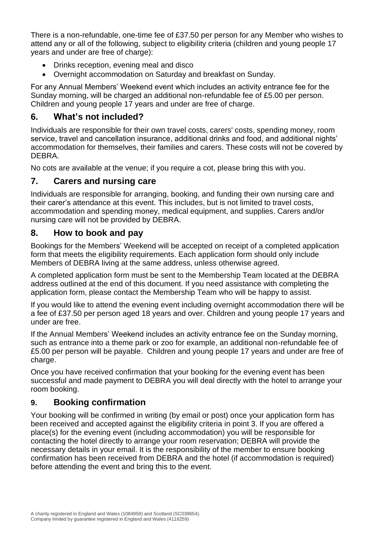There is a non-refundable, one-time fee of £37.50 per person for any Member who wishes to attend any or all of the following, subject to eligibility criteria (children and young people 17 years and under are free of charge):

- Drinks reception, evening meal and disco
- Overnight accommodation on Saturday and breakfast on Sunday.

For any Annual Members' Weekend event which includes an activity entrance fee for the Sunday morning, will be charged an additional non-refundable fee of £5.00 per person. Children and young people 17 years and under are free of charge.

## **6. What's not included?**

Individuals are responsible for their own travel costs, carers' costs, spending money, room service, travel and cancellation insurance, additional drinks and food, and additional nights' accommodation for themselves, their families and carers. These costs will not be covered by DEBRA.

No cots are available at the venue; if you require a cot, please bring this with you.

## **7. Carers and nursing care**

Individuals are responsible for arranging, booking, and funding their own nursing care and their carer's attendance at this event. This includes, but is not limited to travel costs, accommodation and spending money, medical equipment, and supplies. Carers and/or nursing care will not be provided by DEBRA.

### **8. How to book and pay**

Bookings for the Members' Weekend will be accepted on receipt of a completed application form that meets the eligibility requirements. Each application form should only include Members of DEBRA living at the same address, unless otherwise agreed.

A completed application form must be sent to the Membership Team located at the DEBRA address outlined at the end of this document. If you need assistance with completing the application form, please contact the Membership Team who will be happy to assist.

If you would like to attend the evening event including overnight accommodation there will be a fee of £37.50 per person aged 18 years and over. Children and young people 17 years and under are free.

If the Annual Members' Weekend includes an activity entrance fee on the Sunday morning, such as entrance into a theme park or zoo for example, an additional non-refundable fee of £5.00 per person will be payable. Children and young people 17 years and under are free of charge.

Once you have received confirmation that your booking for the evening event has been successful and made payment to DEBRA you will deal directly with the hotel to arrange your room booking.

## **9. Booking confirmation**

Your booking will be confirmed in writing (by email or post) once your application form has been received and accepted against the eligibility criteria in point 3. If you are offered a place(s) for the evening event (including accommodation) you will be responsible for contacting the hotel directly to arrange your room reservation; DEBRA will provide the necessary details in your email. It is the responsibility of the member to ensure booking confirmation has been received from DEBRA and the hotel (if accommodation is required) before attending the event and bring this to the event.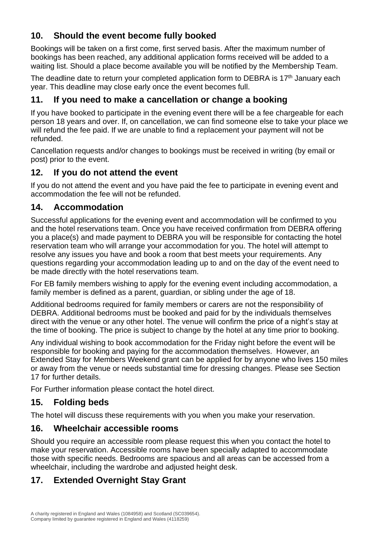## **10. Should the event become fully booked**

Bookings will be taken on a first come, first served basis. After the maximum number of bookings has been reached, any additional application forms received will be added to a waiting list. Should a place become available you will be notified by the Membership Team.

The deadline date to return your completed application form to DEBRA is 17<sup>th</sup> January each year. This deadline may close early once the event becomes full.

#### **11. If you need to make a cancellation or change a booking**

If you have booked to participate in the evening event there will be a fee chargeable for each person 18 years and over. If, on cancellation, we can find someone else to take your place we will refund the fee paid. If we are unable to find a replacement your payment will not be refunded.

Cancellation requests and/or changes to bookings must be received in writing (by email or post) prior to the event.

#### **12. If you do not attend the event**

If you do not attend the event and you have paid the fee to participate in evening event and accommodation the fee will not be refunded.

#### **14. Accommodation**

Successful applications for the evening event and accommodation will be confirmed to you and the hotel reservations team. Once you have received confirmation from DEBRA offering you a place(s) and made payment to DEBRA you will be responsible for contacting the hotel reservation team who will arrange your accommodation for you. The hotel will attempt to resolve any issues you have and book a room that best meets your requirements. Any questions regarding your accommodation leading up to and on the day of the event need to be made directly with the hotel reservations team.

For EB family members wishing to apply for the evening event including accommodation, a family member is defined as a parent, guardian, or sibling under the age of 18.

Additional bedrooms required for family members or carers are not the responsibility of DEBRA. Additional bedrooms must be booked and paid for by the individuals themselves direct with the venue or any other hotel. The venue will confirm the price of a night's stay at the time of booking. The price is subject to change by the hotel at any time prior to booking.

Any individual wishing to book accommodation for the Friday night before the event will be responsible for booking and paying for the accommodation themselves. However, an Extended Stay for Members Weekend grant can be applied for by anyone who lives 150 miles or away from the venue or needs substantial time for dressing changes. Please see Section 17 for further details.

For Further information please contact the hotel direct.

#### **15. Folding beds**

The hotel will discuss these requirements with you when you make your reservation.

#### **16. Wheelchair accessible rooms**

Should you require an accessible room please request this when you contact the hotel to make your reservation. Accessible rooms have been specially adapted to accommodate those with specific needs. Bedrooms are spacious and all areas can be accessed from a wheelchair, including the wardrobe and adjusted height desk.

## **17. Extended Overnight Stay Grant**